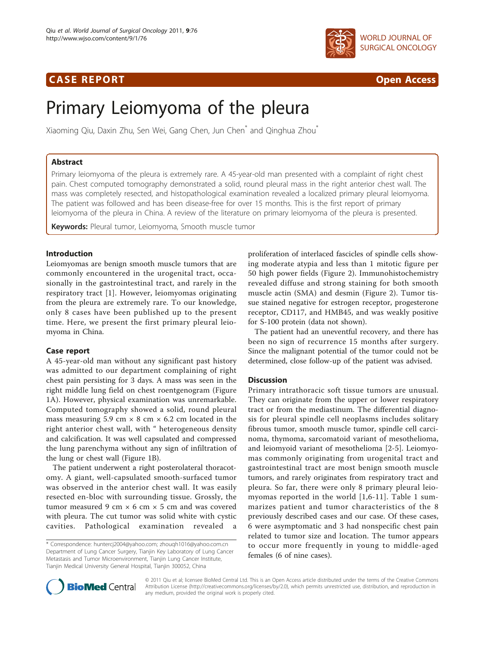# **CASE REPORT CASE REPORT**



# Primary Leiomyoma of the pleura

Xiaoming Qiu, Daxin Zhu, Sen Wei, Gang Chen, Jun Chen<sup>\*</sup> and Qinghua Zhou<sup>\*</sup>

# Abstract

Primary leiomyoma of the pleura is extremely rare. A 45-year-old man presented with a complaint of right chest pain. Chest computed tomography demonstrated a solid, round pleural mass in the right anterior chest wall. The mass was completely resected, and histopathological examination revealed a localized primary pleural leiomyoma. The patient was followed and has been disease-free for over 15 months. This is the first report of primary leiomyoma of the pleura in China. A review of the literature on primary leiomyoma of the pleura is presented.

Keywords: Pleural tumor, Leiomyoma, Smooth muscle tumor

# Introduction

Leiomyomas are benign smooth muscle tumors that are commonly encountered in the urogenital tract, occasionally in the gastrointestinal tract, and rarely in the respiratory tract [[1\]](#page-2-0). However, leiomyomas originating from the pleura are extremely rare. To our knowledge, only 8 cases have been published up to the present time. Here, we present the first primary pleural leiomyoma in China.

# Case report

A 45-year-old man without any significant past history was admitted to our department complaining of right chest pain persisting for 3 days. A mass was seen in the right middle lung field on chest roentgenogram (Figure [1A\)](#page-1-0). However, physical examination was unremarkable. Computed tomography showed a solid, round pleural mass measuring 5.9 cm  $\times$  8 cm  $\times$  6.2 cm located in the right anterior chest wall, with " heterogeneous density and calcification. It was well capsulated and compressed the lung parenchyma without any sign of infiltration of the lung or chest wall (Figure [1B](#page-1-0)).

The patient underwent a right posterolateral thoracotomy. A giant, well-capsulated smooth-surfaced tumor was observed in the anterior chest wall. It was easily resected en-bloc with surrounding tissue. Grossly, the tumor measured 9 cm  $\times$  6 cm  $\times$  5 cm and was covered with pleura. The cut tumor was solid white with cystic cavities. Pathological examination revealed

proliferation of interlaced fascicles of spindle cells showing moderate atypia and less than 1 mitotic figure per 50 high power fields (Figure [2\)](#page-1-0). Immunohistochemistry revealed diffuse and strong staining for both smooth muscle actin (SMA) and desmin (Figure [2](#page-1-0)). Tumor tissue stained negative for estrogen receptor, progesterone receptor, CD117, and HMB45, and was weakly positive for S-100 protein (data not shown).

The patient had an uneventful recovery, and there has been no sign of recurrence 15 months after surgery. Since the malignant potential of the tumor could not be determined, close follow-up of the patient was advised.

# **Discussion**

Primary intrathoracic soft tissue tumors are unusual. They can originate from the upper or lower respiratory tract or from the mediastinum. The differential diagnosis for pleural spindle cell neoplasms includes solitary fibrous tumor, smooth muscle tumor, spindle cell carcinoma, thymoma, sarcomatoid variant of mesothelioma, and leiomyoid variant of mesothelioma [[2-5](#page-2-0)]. Leiomyomas commonly originating from urogenital tract and gastrointestinal tract are most benign smooth muscle tumors, and rarely originates from respiratory tract and pleura. So far, there were only 8 primary pleural leiomyomas reported in the world [[1,6](#page-2-0)-[11](#page-2-0)]. Table [1](#page-2-0) summarizes patient and tumor characteristics of the 8 previously described cases and our case. Of these cases, 6 were asymptomatic and 3 had nonspecific chest pain related to tumor size and location. The tumor appears to occur more frequently in young to middle-aged females (6 of nine cases).



© 2011 Qiu et al; licensee BioMed Central Ltd. This is an Open Access article distributed under the terms of the Creative Commons Attribution License [\(http://creativecommons.org/licenses/by/2.0](http://creativecommons.org/licenses/by/2.0)), which permits unrestricted use, distribution, and reproduction in any medium, provided the original work is properly cited.

<sup>\*</sup> Correspondence: [huntercj2004@yahoo.com;](mailto:huntercj2004@yahoo.com) [zhouqh1016@yahoo.com.cn](mailto:zhouqh1016@yahoo.com.cn) Department of Lung Cancer Surgery, Tianjin Key Laboratory of Lung Cancer Metastasis and Tumor Microenvironment, Tianjin Lung Cancer Institute, Tianjin Medical University General Hospital, Tianjin 300052, China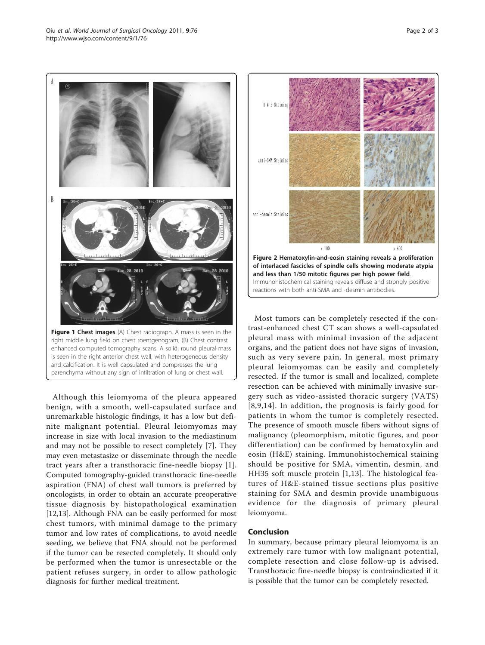Although this leiomyoma of the pleura appeared benign, with a smooth, well-capsulated surface and unremarkable histologic findings, it has a low but definite malignant potential. Pleural leiomyomas may increase in size with local invasion to the mediastinum and may not be possible to resect completely [[7\]](#page-2-0). They may even metastasize or disseminate through the needle tract years after a transthoracic fine-needle biopsy [[1](#page-2-0)]. Computed tomography-guided transthoracic fine-needle aspiration (FNA) of chest wall tumors is preferred by oncologists, in order to obtain an accurate preoperative tissue diagnosis by histopathological examination [[12,13\]](#page-2-0). Although FNA can be easily performed for most chest tumors, with minimal damage to the primary tumor and low rates of complications, to avoid needle seeding, we believe that FNA should not be performed if the tumor can be resected completely. It should only be performed when the tumor is unresectable or the patient refuses surgery, in order to allow pathologic

diagnosis for further medical treatment.

Most tumors can be completely resected if the contrast-enhanced chest CT scan shows a well-capsulated pleural mass with minimal invasion of the adjacent organs, and the patient does not have signs of invasion, such as very severe pain. In general, most primary pleural leiomyomas can be easily and completely resected. If the tumor is small and localized, complete resection can be achieved with minimally invasive surgery such as video-assisted thoracic surgery (VATS) [[8,9](#page-2-0),[14](#page-2-0)]. In addition, the prognosis is fairly good for patients in whom the tumor is completely resected. The presence of smooth muscle fibers without signs of malignancy (pleomorphism, mitotic figures, and poor differentiation) can be confirmed by hematoxylin and eosin (H&E) staining. Immunohistochemical staining should be positive for SMA, vimentin, desmin, and HH35 soft muscle protein [[1,13](#page-2-0)]. The histological features of H&E-stained tissue sections plus positive staining for SMA and desmin provide unambiguous evidence for the diagnosis of primary pleural leiomyoma.

## Conclusion

In summary, because primary pleural leiomyoma is an extremely rare tumor with low malignant potential, complete resection and close follow-up is advised. Transthoracic fine-needle biopsy is contraindicated if it is possible that the tumor can be completely resected.

<span id="page-1-0"></span>